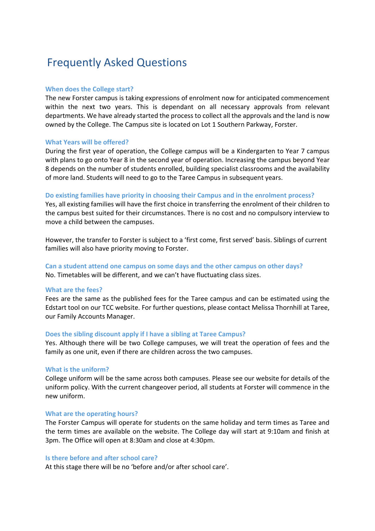# Frequently Asked Questions

# **When does the College start?**

The new Forster campus is taking expressions of enrolment now for anticipated commencement within the next two years. This is dependant on all necessary approvals from relevant departments. We have already started the process to collect all the approvals and the land is now owned by the College. The Campus site is located on Lot 1 Southern Parkway, Forster.

# **What Years will be offered?**

During the first year of operation, the College campus will be a Kindergarten to Year 7 campus with plans to go onto Year 8 in the second year of operation. Increasing the campus beyond Year 8 depends on the number of students enrolled, building specialist classrooms and the availability of more land. Students will need to go to the Taree Campus in subsequent years.

# **Do existing families have priority in choosing their Campus and in the enrolment process?**

Yes, all existing families will have the first choice in transferring the enrolment of their children to the campus best suited for their circumstances. There is no cost and no compulsory interview to move a child between the campuses.

However, the transfer to Forster is subject to a 'first come, first served' basis. Siblings of current families will also have priority moving to Forster.

# **Can a student attend one campus on some days and the other campus on other days?**  No. Timetables will be different, and we can't have fluctuating class sizes.

### **What are the fees?**

Fees are the same as the published fees for the Taree campus and can be estimated using the Edstart tool on our TCC website. For further questions, please contact Melissa Thornhill at Taree, our Family Accounts Manager.

#### **Does the sibling discount apply if I have a sibling at Taree Campus?**

Yes. Although there will be two College campuses, we will treat the operation of fees and the family as one unit, even if there are children across the two campuses.

#### **What is the uniform?**

College uniform will be the same across both campuses. Please see our website for details of the uniform policy. With the current changeover period, all students at Forster will commence in the new uniform.

#### **What are the operating hours?**

The Forster Campus will operate for students on the same holiday and term times as Taree and the term times are available on the website. The College day will start at 9:10am and finish at 3pm. The Office will open at 8:30am and close at 4:30pm.

# **Is there before and after school care?**

At this stage there will be no 'before and/or after school care'.